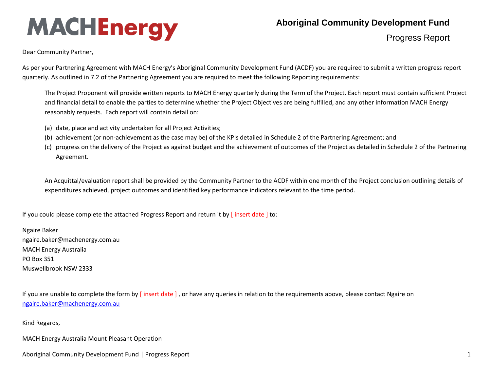## **MACHEnergy**

## **Aboriginal Community Development Fund**

Progress Report

Dear Community Partner,

As per your Partnering Agreement with MACH Energy's Aboriginal Community Development Fund (ACDF) you are required to submit a written progress report quarterly. As outlined in 7.2 of the Partnering Agreement you are required to meet the following Reporting requirements:

The Project Proponent will provide written reports to MACH Energy quarterly during the Term of the Project. Each report must contain sufficient Project and financial detail to enable the parties to determine whether the Project Objectives are being fulfilled, and any other information MACH Energy reasonably requests. Each report will contain detail on:

- (a) date, place and activity undertaken for all Project Activities;
- (b) achievement (or non-achievement as the case may be) of the KPIs detailed in Schedule 2 of the Partnering Agreement; and
- (c) progress on the delivery of the Project as against budget and the achievement of outcomes of the Project as detailed in Schedule 2 of the Partnering Agreement.

An Acquittal/evaluation report shall be provided by the Community Partner to the ACDF within one month of the Project conclusion outlining details of expenditures achieved, project outcomes and identified key performance indicators relevant to the time period.

If you could please complete the attached Progress Report and return it by [ insert date ] to:

Ngaire Baker ngaire.baker@machenergy.com.au MACH Energy Australia PO Box 351 Muswellbrook NSW 2333

If you are unable to complete the form by [insert date], or have any queries in relation to the requirements above, please contact Ngaire on [ngaire.baker@machenergy.com.au](mailto:ngaire.baker@machenergyaustralia.com.au)

Kind Regards,

MACH Energy Australia Mount Pleasant Operation

Aboriginal Community Development Fund | Progress Report 1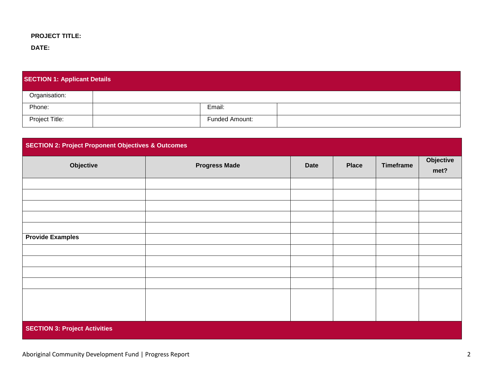## **PROJECT TITLE:**

**DATE:** 

| <b>SECTION 1: Applicant Details</b> |  |                |  |  |
|-------------------------------------|--|----------------|--|--|
| Organisation:                       |  |                |  |  |
| Phone:                              |  | Email:         |  |  |
| Project Title:                      |  | Funded Amount: |  |  |

| <b>SECTION 2: Project Proponent Objectives &amp; Outcomes</b> |                      |             |              |                  |                   |
|---------------------------------------------------------------|----------------------|-------------|--------------|------------------|-------------------|
| Objective                                                     | <b>Progress Made</b> | <b>Date</b> | <b>Place</b> | <b>Timeframe</b> | Objective<br>met? |
|                                                               |                      |             |              |                  |                   |
|                                                               |                      |             |              |                  |                   |
|                                                               |                      |             |              |                  |                   |
|                                                               |                      |             |              |                  |                   |
| <b>Provide Examples</b>                                       |                      |             |              |                  |                   |
|                                                               |                      |             |              |                  |                   |
|                                                               |                      |             |              |                  |                   |
|                                                               |                      |             |              |                  |                   |
|                                                               |                      |             |              |                  |                   |
|                                                               |                      |             |              |                  |                   |
|                                                               |                      |             |              |                  |                   |
|                                                               |                      |             |              |                  |                   |
| <b>SECTION 3: Project Activities</b>                          |                      |             |              |                  |                   |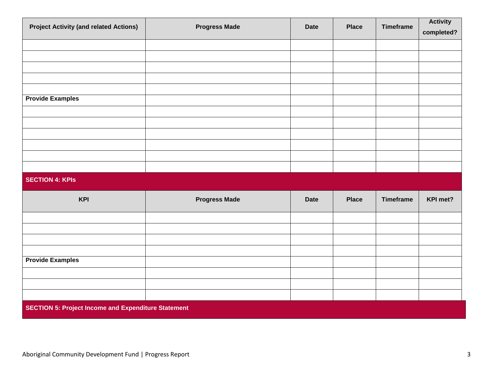| <b>Project Activity (and related Actions)</b>              | <b>Progress Made</b> | <b>Date</b> | <b>Place</b> | <b>Timeframe</b> | <b>Activity</b> |
|------------------------------------------------------------|----------------------|-------------|--------------|------------------|-----------------|
|                                                            |                      |             |              |                  | completed?      |
|                                                            |                      |             |              |                  |                 |
|                                                            |                      |             |              |                  |                 |
|                                                            |                      |             |              |                  |                 |
|                                                            |                      |             |              |                  |                 |
|                                                            |                      |             |              |                  |                 |
| <b>Provide Examples</b>                                    |                      |             |              |                  |                 |
|                                                            |                      |             |              |                  |                 |
|                                                            |                      |             |              |                  |                 |
|                                                            |                      |             |              |                  |                 |
|                                                            |                      |             |              |                  |                 |
|                                                            |                      |             |              |                  |                 |
|                                                            |                      |             |              |                  |                 |
| <b>SECTION 4: KPIS</b>                                     |                      |             |              |                  |                 |
| <b>KPI</b>                                                 | <b>Progress Made</b> | <b>Date</b> | <b>Place</b> | <b>Timeframe</b> | KPI met?        |
|                                                            |                      |             |              |                  |                 |
|                                                            |                      |             |              |                  |                 |
|                                                            |                      |             |              |                  |                 |
|                                                            |                      |             |              |                  |                 |
| <b>Provide Examples</b>                                    |                      |             |              |                  |                 |
|                                                            |                      |             |              |                  |                 |
|                                                            |                      |             |              |                  |                 |
|                                                            |                      |             |              |                  |                 |
| <b>SECTION 5: Project Income and Expenditure Statement</b> |                      |             |              |                  |                 |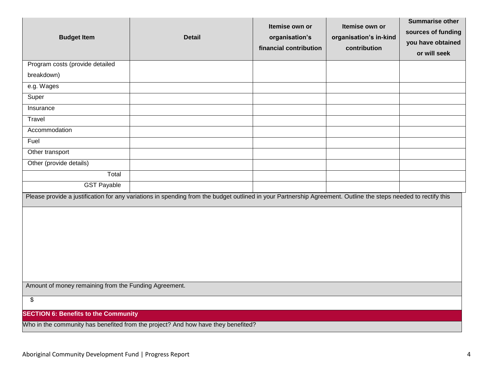| <b>Budget Item</b>                                                                                                                                             | <b>Detail</b> | Itemise own or<br>organisation's<br>financial contribution | Itemise own or<br>organisation's in-kind<br>contribution | <b>Summarise other</b><br>sources of funding<br>you have obtained<br>or will seek |  |
|----------------------------------------------------------------------------------------------------------------------------------------------------------------|---------------|------------------------------------------------------------|----------------------------------------------------------|-----------------------------------------------------------------------------------|--|
| Program costs (provide detailed                                                                                                                                |               |                                                            |                                                          |                                                                                   |  |
| breakdown)                                                                                                                                                     |               |                                                            |                                                          |                                                                                   |  |
| e.g. Wages                                                                                                                                                     |               |                                                            |                                                          |                                                                                   |  |
| Super                                                                                                                                                          |               |                                                            |                                                          |                                                                                   |  |
| Insurance                                                                                                                                                      |               |                                                            |                                                          |                                                                                   |  |
| Travel                                                                                                                                                         |               |                                                            |                                                          |                                                                                   |  |
| Accommodation                                                                                                                                                  |               |                                                            |                                                          |                                                                                   |  |
| Fuel                                                                                                                                                           |               |                                                            |                                                          |                                                                                   |  |
| Other transport                                                                                                                                                |               |                                                            |                                                          |                                                                                   |  |
| Other (provide details)                                                                                                                                        |               |                                                            |                                                          |                                                                                   |  |
| Total                                                                                                                                                          |               |                                                            |                                                          |                                                                                   |  |
| <b>GST Payable</b>                                                                                                                                             |               |                                                            |                                                          |                                                                                   |  |
| Please provide a justification for any variations in spending from the budget outlined in your Partnership Agreement. Outline the steps needed to rectify this |               |                                                            |                                                          |                                                                                   |  |
| Amount of money remaining from the Funding Agreement.                                                                                                          |               |                                                            |                                                          |                                                                                   |  |
| \$                                                                                                                                                             |               |                                                            |                                                          |                                                                                   |  |
| <b>SECTION 6: Benefits to the Community</b>                                                                                                                    |               |                                                            |                                                          |                                                                                   |  |
| Who in the community has benefited from the project? And how have they benefited?                                                                              |               |                                                            |                                                          |                                                                                   |  |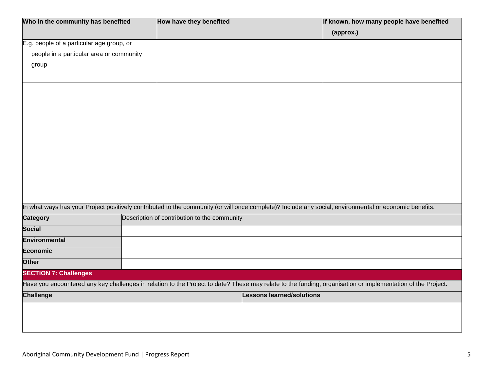| Who in the community has benefited        |  | How have they benefited                                                                                                                                     | If known, how many people have benefited |  |  |
|-------------------------------------------|--|-------------------------------------------------------------------------------------------------------------------------------------------------------------|------------------------------------------|--|--|
|                                           |  |                                                                                                                                                             | (approx.)                                |  |  |
| E.g. people of a particular age group, or |  |                                                                                                                                                             |                                          |  |  |
| people in a particular area or community  |  |                                                                                                                                                             |                                          |  |  |
| group                                     |  |                                                                                                                                                             |                                          |  |  |
|                                           |  |                                                                                                                                                             |                                          |  |  |
|                                           |  |                                                                                                                                                             |                                          |  |  |
|                                           |  |                                                                                                                                                             |                                          |  |  |
|                                           |  |                                                                                                                                                             |                                          |  |  |
|                                           |  |                                                                                                                                                             |                                          |  |  |
|                                           |  |                                                                                                                                                             |                                          |  |  |
|                                           |  |                                                                                                                                                             |                                          |  |  |
|                                           |  |                                                                                                                                                             |                                          |  |  |
|                                           |  |                                                                                                                                                             |                                          |  |  |
|                                           |  | In what ways has your Project positively contributed to the community (or will once complete)? Include any social, environmental or economic benefits.      |                                          |  |  |
| <b>Category</b>                           |  | Description of contribution to the community                                                                                                                |                                          |  |  |
| <b>Social</b>                             |  |                                                                                                                                                             |                                          |  |  |
| <b>Environmental</b>                      |  |                                                                                                                                                             |                                          |  |  |
| <b>Economic</b>                           |  |                                                                                                                                                             |                                          |  |  |
| <b>Other</b>                              |  |                                                                                                                                                             |                                          |  |  |
| <b>SECTION 7: Challenges</b>              |  |                                                                                                                                                             |                                          |  |  |
|                                           |  | Have you encountered any key challenges in relation to the Project to date? These may relate to the funding, organisation or implementation of the Project. |                                          |  |  |
| <b>Challenge</b>                          |  | <b>Lessons learned/solutions</b>                                                                                                                            |                                          |  |  |
|                                           |  |                                                                                                                                                             |                                          |  |  |
|                                           |  |                                                                                                                                                             |                                          |  |  |
|                                           |  |                                                                                                                                                             |                                          |  |  |